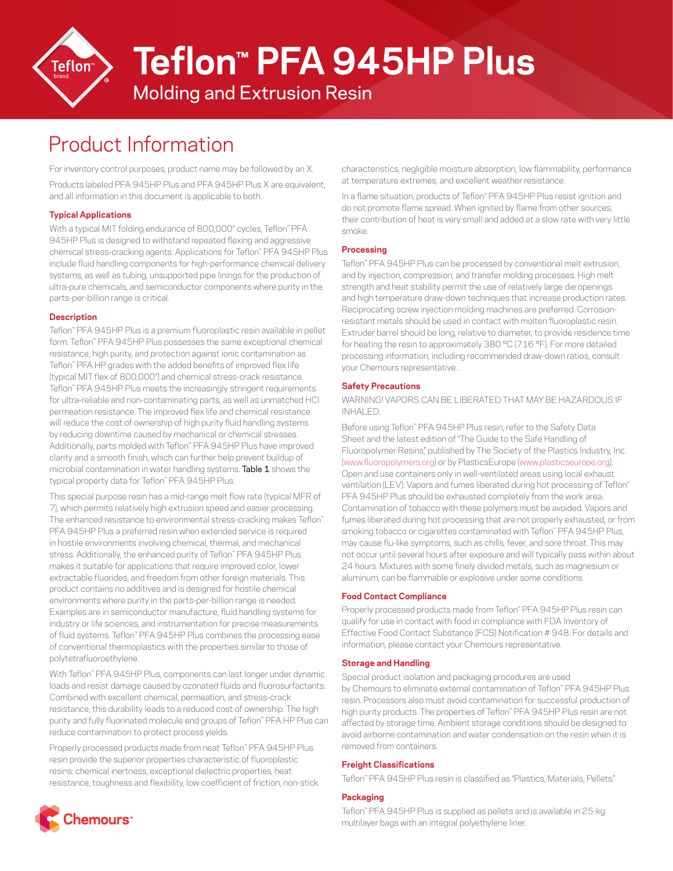

# **Teflon™ PFA 945HP Plus**

### Molding and Extrusion Resin

## Product Information

For inventory control purposes, product name may be followed by an X.

Products labeled PFA 945HP Plus and PFA 945HP Plus X are equivalent, and all information in this document is applicable to both.

#### **Typical Applications**

With a typical MIT folding endurance of 800,000\* cycles, Teflon™ PFA 945HP Plus is designed to withstand repeated flexing and aggressive chemical stress-cracking agents. Applications for Teflon™ PFA 945HP Plus include fluid handling components for high-performance chemical delivery systems, as well as tubing, unsupported pipe linings for the production of ultra-pure chemicals, and semiconductor components where purity in the parts-per-billion range is critical.

#### **Description**

Teflon™ PFA 945HP Plus is a premium fluoroplastic resin available in pellet form. Teflon™ PFA 945HP Plus possesses the same exceptional chemical resistance, high purity, and protection against ionic contamination as Teflon™ PFA HP grades with the added benefits of improved flex life (typical MIT flex of 800,000\*) and chemical stress-crack resistance. Teflon™ PFA 945HP Plus meets the increasingly stringent requirements for ultra-reliable and non-contaminating parts, as well as unmatched HCl permeation resistance. The improved flex life and chemical resistance will reduce the cost of ownership of high purity fluid handling systems by reducing downtime caused by mechanical or chemical stresses. Additionally, parts molded with Teflon™ PFA 945HP Plus have improved clarity and a smooth finish, which can further help prevent buildup of microbial contamination in water handling systems. Table 1 shows the typical property data for Teflon™ PFA 945HP Plus.

This special purpose resin has a mid-range melt flow rate (typical MFR of 7), which permits relatively high extrusion speed and easier processing. The enhanced resistance to environmental stress-cracking makes Teflon™ PFA 945HP Plus a preferred resin when extended service is required in hostile environments involving chemical, thermal, and mechanical stress. Additionally, the enhanced purity of Teflon™ PFA 945HP Plus makes it suitable for applications that require improved color, lower extractable fluorides, and freedom from other foreign materials. This product contains no additives and is designed for hostile chemical environments where purity in the parts-per-billion range is needed. Examples are in semiconductor manufacture, fluid handling systems for industry or life sciences, and instrumentation for precise measurements of fluid systems. Teflon™ PFA 945HP Plus combines the processing ease of conventional thermoplastics with the properties similar to those of polytetrafluoroethylene.

With Teflon™ PFA 945HP Plus, components can last longer under dynamic loads and resist damage caused by ozonated fluids and fluorosurfactants. Combined with excellent chemical, permeation, and stress-crack resistance, this durability leads to a reduced cost of ownership. The high purity and fully fluorinated molecule end groups of Teflon™ PFA HP Plus can reduce contamination to protect process yields.

Properly processed products made from neat Teflon™ PFA 945HP Plus resin provide the superior properties characteristic of fluoroplastic resins: chemical inertness, exceptional dielectric properties, heat resistance, toughness and flexibility, low coefficient of friction, non-stick



In a flame situation, products of Teflon™ PFA 945HP Plus resist ignition and do not promote flame spread. When ignited by flame from other sources, their contribution of heat is very small and added at a slow rate with very little smoke.

#### **Processing**

Teflon™ PFA 945HP Plus can be processed by conventional melt extrusion, and by injection, compression, and transfer molding processes. High melt strength and heat stability permit the use of relatively large die openings and high temperature draw-down techniques that increase production rates. Reciprocating screw injection molding machines are preferred. Corrosionresistant metals should be used in contact with molten fluoroplastic resin. Extruder barrel should be long, relative to diameter, to provide residence time for heating the resin to approximately 380 °C (716 °F). For more detailed processing information, including recommended draw-down ratios, consult your Chemours representative. .

#### **Safety Precautions**

WARNING! VAPORS CAN BE LIBERATED THAT MAY BE HAZARDOUS IF INHALED.

Before using Teflon™ PFA 945HP Plus resin, refer to the Safety Data Sheet and the latest edition of "The Guide to the Safe Handling of Fluoropolymer Resins," published by The Society of the Plastics Industry, Inc. ([www.fluoropolymers.org](http://www.fluoropolymers.org)) or by PlasticsEurope ([www.plasticseurope.org\)](http://www.plasticseurope.org). Open and use containers only in well-ventilated areas using local exhaust ventilation (LEV). Vapors and fumes liberated during hot processing of Teflon™ PFA 945HP Plus should be exhausted completely from the work area. Contamination of tobacco with these polymers must be avoided. Vapors and fumes liberated during hot processing that are not properly exhausted, or from smoking tobacco or cigarettes contaminated with Teflon™ PFA 945HP Plus, may cause flu-like symptoms, such as chills, fever, and sore throat. This may not occur until several hours after exposure and will typically pass within about 24 hours. Mixtures with some finely divided metals, such as magnesium or aluminum, can be flammable or explosive under some conditions.

#### **Food Contact Compliance**

Properly processed products made from Teflon™ PFA 945HP Plus resin can qualify for use in contact with food in compliance with FDA Inventory of Effective Food Contact Substance (FCS) Notification # 948. For details and information, please contact your Chemours representative.

#### **Storage and Handling**

Special product isolation and packaging procedures are used by Chemours to eliminate external contamination of Teflon™ PFA 945HP Plus resin. Processors also must avoid contamination for successful production of high purity products. The properties of Teflon™ PFA 945HP Plus resin are not affected by storage time. Ambient storage conditions should be designed to avoid airborne contamination and water condensation on the resin when it is removed from containers.

#### **Freight Classifications**

Teflon™ PFA 945HP Plus resin is classified as "Plastics, Materials, Pellets."

#### **Packaging**

Teflon™ PFA 945HP Plus is supplied as pellets and is available in 25-kg multilayer bags with an integral polyethylene liner.